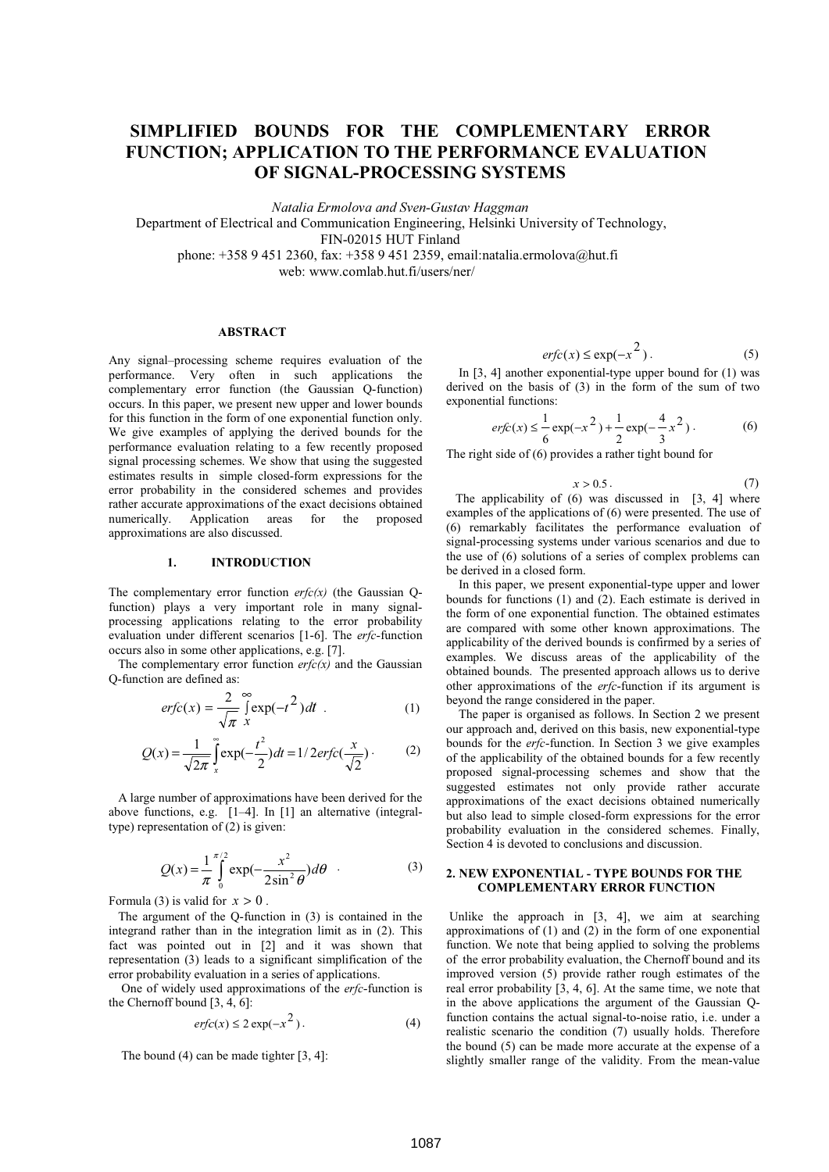# **SIMPLIFIED BOUNDS FOR THE COMPLEMENTARY ERROR FUNCTION; APPLICATION TO THE PERFORMANCE EVALUATION OF SIGNAL-PROCESSING SYSTEMS**

*Na* talia Ermolova and Sven-Gustav Haggman

Department of Electrical and Communication Engineering, Helsinki University of Technology,

FIN-02015 HUT Finland

phone: +358 9 451 2360, fax: +358 9 451 2359, email:natalia.ermolova@hut.fi

web: www.comlab.hut.fi/users/ner/

#### **A BSTRACT**

Any signal–processing scheme requires evaluation of the performance. Very often in such applications the complementary error function (the Gaussian Q-function) occurs. In this paper, we present new upper and lower bounds for this function in the form of one exponential function only. We give examples of applying the derived bounds for the performance evaluation relating to a few recently proposed signal processing schemes. We show that using the suggested estimates results in simple closed-form expressions for the error probability in the considered schemes and provides rather accurate approximations of the exact decisions obtained numerically. Application areas for the proposed approximations are also discussed.

#### $\mathbf{1}$ . **NTRODUCTION**

The complementary error function  $erfc(x)$  (the Gaussian Qfunction) plays a very important role in many signalprocessing applications relating to the error probability evaluation under different scenarios  $[1-6]$ . The erfc-function occurs also in some other applications, e.g. [7].

The complementary error function  $erfc(x)$  and the Gaussian Q-function are defined as:

$$
erfc(x) = \frac{2}{\sqrt{\pi}} \int_{0}^{\infty} \exp(-t^2) dt
$$
 (1)

$$
Q(x) = \frac{1}{\sqrt{2\pi}} \int_{x}^{\infty} \exp(-\frac{t^2}{2}) dt = 1/2 \, erfc(\frac{x}{\sqrt{2}})
$$
 (2)

 A large number of approximations have been derived for the above functions, e.g. [1–4]. In [1] an alternative (integraltype) representation of (2) is given:

$$
Q(x) = \frac{1}{\pi} \int_{0}^{\pi/2} \exp(-\frac{x^2}{2\sin^2 \theta}) d\theta
$$
 (3)

Formula (3) is valid for  $x > 0$ .

 The argument of the Q-function in (3) is contained in the integrand rather than in the integration limit as in (2). This fact was pointed out in [2] and it was shown that representation (3) leads to a significant simplification of the error probability evaluation in a series of applications.

One of widely used approximations of the  $erfc$ -function is the Chernoff bound [3, 4, 6]:

$$
erfc(x) \le 2 \exp(-x^2). \tag{4}
$$

The bound (4) can be made tighter [3, 4]:

$$
erfc(x) \le \exp(-x^2). \tag{5}
$$

 In [3, 4] another exponential-type upper bound for (1) was derived on the basis of (3) in the form of the sum of two exponential functions:

$$
erfc(x) \le \frac{1}{6} \exp(-x^2) + \frac{1}{2} \exp(-\frac{4}{3}x^2).
$$
 (6)

The right side of (6) provides a rather tight bound for

$$
x > 0.5 \tag{7}
$$

The applicability of (6) was discussed in [3, 4] where examples of the applications of (6) were presented. The use of (6) remarkably facilitates the performance evaluation of signal-processing systems under various scenarios and due to the use of (6) solutions of a series of complex problems can be derived in a closed form.

 In this paper, we present exponential-type upper and lower bounds for functions (1) and (2). Each estimate is derived in the form of one exponential function. The obtained estimates are compared with some other known approximations. The applicability of the derived bounds is confirmed by a series of examples. We discuss areas of the applicability of the obtained bounds. The presented approach allows us to derive other approximations of the erfc-function if its argument is beyond the range considered in the paper.

 The paper is organised as follows. In Section 2 we present our approach and, derived on this basis, new exponential-type bounds for the  $erfc$ -function. In Section 3 we give examples of the applicability of the obtained bounds for a few recently proposed signal-processing schemes and show that the suggested estimates not only provide rather accurate approximations of the exact decisions obtained numerically but also lead to simple closed-form expressions for the error probability evaluation in the considered schemes. Finally, Section 4 is devoted to conclusions and discussion.

#### 2. NEW EXPONENTIAL - TYPE BOUNDS FOR THE **COMPLEMENTARY ERROR FUNCTION**

 Unlike the approach in [3, 4], we aim at searching approximations of (1) and (2) in the form of one exponential function. We note that being applied to solving the problems of the error probability evaluation, the Chernoff bound and its improved version (5) provide rather rough estimates of the real error probability [3, 4, 6]. At the same time, we note that in the above applications the argument of the Gaussian Qfunction contains the actual signal-to-noise ratio, i.e. under a realistic scenario the condition (7) usually holds. Therefore the bound (5) can be made more accurate at the expense of a slightly smaller range of the validity. From the mean-value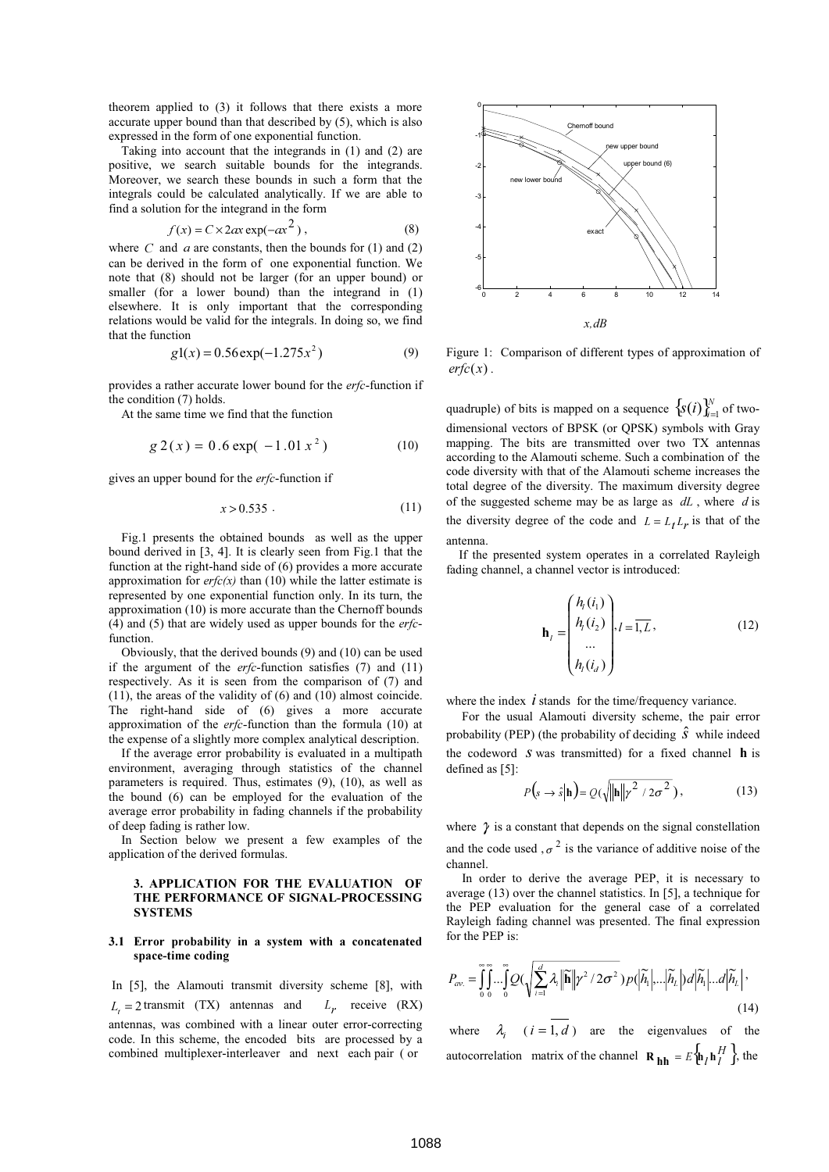theorem applied to (3) it follows that there exists a more accurate upper bound than that described by (5), which is also expressed in the form of one exponential function.

 Taking into account that the integrands in (1) and (2) are positive, we search suitable bounds for the integrands. Moreover, we search these bounds in such a form that the integrals could be calculated analytically. If we are able to find a solution for the integrand in the form

$$
f(x) = C \times 2ax \exp(-ax^2), \qquad (8)
$$

where  $C$  and  $a$  are constants, then the bounds for (1) and (2) can be derived in the form of one exponential function. We note that (8) should not be larger (for an upper bound) or smaller (for a lower bound) than the integrand in (1) elsewhere. It is only important that the corresponding relations would be valid for the integrals. In doing so, we find that the function

$$
g1(x) = 0.56 \exp(-1.275x^2)
$$
 (9)

provides a rather accurate lower bound for the erfc-function if the condition (7) holds.

At the same time we find that the function

$$
g 2(x) = 0.6 \exp(-1.01 x2)
$$
 (10)

gives an upper bound for the  $erfc$ -function if

$$
x > 0.535 \tag{11}
$$

 Fig.1 presents the obtained bounds as well as the upper bound derived in [3, 4]. It is clearly seen from Fig.1 that the function at the right-hand side of (6) provides a more accurate approximation for  $erfc(x)$  than (10) while the latter estimate is represented by one exponential function only. In its turn, the approximation (10) is more accurate than the Chernoff bounds (4) and (5) that are widely used as upper bounds for the  $erfc$ function.

 Obviously, that the derived bounds (9) and (10) can be used if the argument of the  $erfc$ -function satisfies (7) and (11) respectively. As it is seen from the comparison of (7) and (11), the areas of the validity of (6) and (10) almost coincide. The right-hand side of (6) gives a more accurate approximation of the *erfc*-function than the formula  $(10)$  at the expense of a slightly more complex analytical description.

 If the average error probability is evaluated in a multipath environment, averaging through statistics of the channel parameters is required. Thus, estimates (9), (10), as well as the bound (6) can be employed for the evaluation of the average error probability in fading channels if the probability of deep fading is rather low.

 In Section below we present a few examples of the application of the derived formulas.

#### 3. APPLICATION FOR THE EVALUATION OF THE PERFORMANCE OF SIGNAL-PROCESSING **SYSTEMS**

### 3.1 Error probability in a system with a concatenated space-time coding

 In [5], the Alamouti transmit diversity scheme [8], with  $L_z = 2$  transmit (TX) antennas and  $L_r$  receive (RX) antennas, was combined with a linear outer error-correcting code. In this scheme, the encoded bits are processed by a combined multiplexer-interleaver and next each pair ( or



Figure 1: Comparison of different types of approximation of  $erfc(x)$ .

quadruple) of bits is mapped on a sequence  $\{s(i)\}_{i=1}^{N}$  of twodimensional vectors of BPSK (or QPSK) symbols with Gray mapping. The bits are transmitted over two TX antennas according to the Alamouti scheme. Such a combination of the code diversity with that of the Alamouti scheme increases the total degree of the diversity. The maximum diversity degree of the suggested scheme may be as large as  $dL$ , where  $d$  is the diversity degree of the code and  $L = L<sub>t</sub> L<sub>r</sub>$  is that of the antenna.

 If the presented system operates in a correlated Rayleigh fading channel, a channel vector is introduced:

$$
\mathbf{h}_{l} = \begin{pmatrix} h_{l}(i_{1}) \\ h_{l}(i_{2}) \\ \dots \\ h_{l}(i_{d}) \end{pmatrix}, l = \overline{1, L},
$$
(12)

where the index  $\vec{l}$  stands for the time/frequency variance.

 For the usual Alamouti diversity scheme, the pair error probability (PEP) (the probability of deciding  $\hat{S}$  while indeed the codeword  $S$  was transmitted) for a fixed channel  $\bf{h}$  is defined as [5]:

$$
P(s \to \hat{s}|\mathbf{h}) = Q(\sqrt{\|\mathbf{h}\| \gamma^2 / 2\sigma^2}), \qquad (13)
$$

where  $\gamma$  is a constant that depends on the signal constellation and the code used ,  $\sigma^2$  is the variance of additive noise of the channel.

 In order to derive the average PEP, it is necessary to average (13) over the channel statistics. In [5], a technique for the PEP evaluation for the general case of a correlated Rayleigh fading channel was presented. The final expression for the PEP is:

$$
P_{av.} = \int_{0}^{\infty} \int_{0}^{\infty} \ldots \int_{0}^{\infty} Q(\sqrt{\sum_{i=1}^{d} \lambda_{i} \|\widetilde{\mathbf{h}}\|} \gamma^{2} / 2\sigma^{2}) p(\left|\widetilde{h}_{1}\right| \ldots \left|\widetilde{h}_{L}\right|) d\left|\widetilde{h}_{1}\right| \ldots d\left|\widetilde{h}_{L}\right|,
$$
\n(14)

where  $\lambda_i$   $(i = 1, d)$  are the eigenvalues of the autocorrelation matrix of the channel  ${\bf R}_{\bf hh} = E\left\{ {\bf h}_{l} {\bf h}_{l}^{H} \right\}$ , the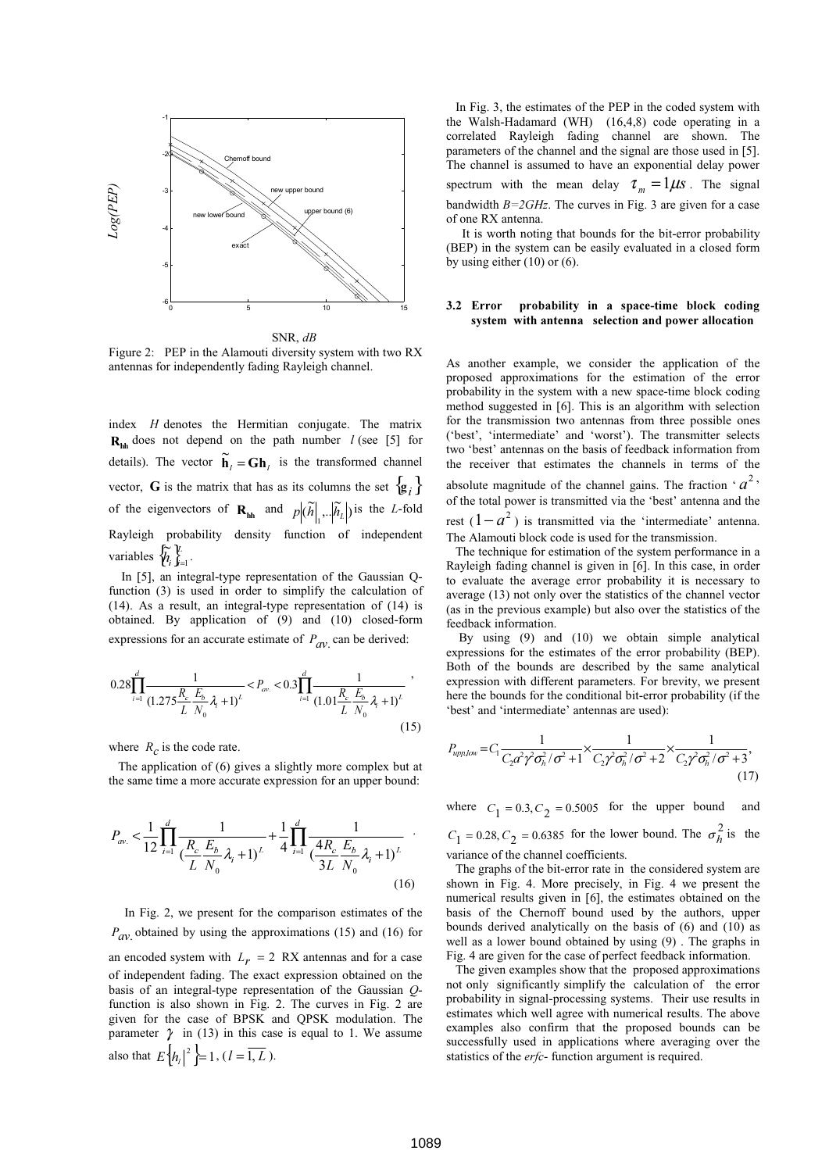

Figure 2: PEP in the Alamouti diversity system with two RX antennas for independently fading Rayleigh channel.

index  $H$  denotes the Hermitian conjugate. The matrix  $\mathbf{R}_{\text{th}}$  does not depend on the path number  $l$  (see [5] for details). The vector  $\tilde{\mathbf{h}}_i = \mathbf{G} \mathbf{h}_i$  is the transformed channel vector, G is the matrix that has as its columns the set  $\{g_i\}$ of the eigenvectors of  $\mathbf{R}_{hh}$  and  $p | (\tilde{h}|_1 ... | \tilde{h}_L |)$  is the L-fold Rayleigh probability density function of independent variables  $\{\widetilde{h}_{i}\}_{i=1}^{L}$ .

 In [5], an integral-type representation of the Gaussian Qfunction (3) is used in order to simplify the calculation of (14). As a result, an integral-type representation of (14) is obtained. By application of (9) and (10) closed-form expressions for an accurate estimate of  $P_{av}$  can be derived:

$$
0.28\prod_{i=1}^{d} \frac{1}{(1.275\frac{R_{\rm c}}{L}\frac{E_{\rm b}}{N_{\rm o}}\lambda_{\rm f}+1)^{L}} < P_{\rm av.} < 0.3\prod_{i=1}^{d} \frac{1}{(1.01\frac{R_{\rm c}}{L}\frac{E_{\rm b}}{N_{\rm o}}\lambda_{\rm f}+1)^{L}}
$$
\n(15)

where  $R_c$  is the code rate.

 The application of (6) gives a slightly more complex but at the same time a more accurate expression for an upper bound:

$$
P_{av.} < \frac{1}{12} \prod_{i=1}^{d} \frac{1}{\left(\frac{R_c}{L} \frac{E_b}{N_0} \lambda_i + 1\right)^L} + \frac{1}{4} \prod_{i=1}^{d} \frac{1}{\left(\frac{4R_c}{3L} \frac{E_b}{N_0} \lambda_i + 1\right)^L}
$$
(16)

 In Fig. 2, we present for the comparison estimates of the  $P_{\alpha V}$  obtained by using the approximations (15) and (16) for an encoded system with  $L<sub>r</sub> = 2$  RX antennas and for a case of independent fading. The exact expression obtained on the basis of an integral-type representation of the Gaussian Ofunction is also shown in Fig. 2. The curves in Fig. 2 are given for the case of BPSK and QPSK modulation. The parameter  $\gamma$  in (13) in this case is equal to 1. We assume also that  $E\left\{ h_{l} \right\}^{2} \models 1$ ,  $(l = \overline{1, L})$ .

 In Fig. 3, the estimates of the PEP in the coded system with the Walsh-Hadamard (WH) (16,4,8) code operating in a correlated Rayleigh fading channel are shown. The parameters of the channel and the signal are those used in [5]. The channel is assumed to have an exponential delay power spectrum with the mean delay  $\tau_m = 1 \mu s$ . The signal bandwidth  $B=2GHz$ . The curves in Fig. 3 are given for a case

of one RX antenna. It is worth noting that bounds for the bit-error probability (BEP) in the system can be easily evaluated in a closed form by using either  $(10)$  or  $(6)$ .

### 3.2 Error probability in a space-time block coding system with antenna selection and power allocation

As another example, we consider the application of the proposed approximations for the estimation of the error probability in the system with a new space-time block coding method suggested in [6]. This is an algorithm with selection for the transmission two antennas from three possible ones ('best', 'intermediate' and 'worst'). The transmitter selects two 'best' antennas on the basis of feedback information from the receiver that estimates the channels in terms of the absolute magnitude of the channel gains. The fraction ' $a^2$ ' of the total power is transmitted via the 'best' antenna and the rest  $(1 - a^2)$  is transmitted via the 'intermediate' antenna. The Alamouti block code is used for the transmission.

 The technique for estimation of the system performance in a Rayleigh fading channel is given in [6]. In this case, in order to evaluate the average error probability it is necessary to average (13) not only over the statistics of the channel vector (as in the previous example) but also over the statistics of the feedback information.

 By using (9) and (10) we obtain simple analytical expressions for the estimates of the error probability (BEP). Both of the bounds are described by the same analytical expression with different parameters. For brevity, we present here the bounds for the conditional bit-error probability (if the 'best' and 'intermediate' antennas are used):

$$
P_{\text{upplow}} = C_1 \frac{1}{C_2 a^2 \gamma^2 \sigma_h^2 / \sigma^2 + 1} \times \frac{1}{C_2 \gamma^2 \sigma_h^2 / \sigma^2 + 2} \times \frac{1}{C_2 \gamma^2 \sigma_h^2 / \sigma^2 + 3},\tag{17}
$$

where  $C_1 = 0.3, C_2 = 0.5005$  for the upper bound and  $C_1 = 0.28, C_2 = 0.6385$  for the lower bound. The  $\sigma_h^2$  is the variance of the channel coefficients.

 The graphs of the bit-error rate in the considered system are shown in Fig. 4. More precisely, in Fig. 4 we present the numerical results given in [6], the estimates obtained on the basis of the Chernoff bound used by the authors, upper bounds derived analytically on the basis of (6) and (10) as well as a lower bound obtained by using (9) . The graphs in Fig. 4 are given for the case of perfect feedback information.

 The given examples show that the proposed approximations not only significantly simplify the calculation of the error probability in signal-processing systems. Their use results in estimates which well agree with numerical results. The above examples also confirm that the proposed bounds can be successfully used in applications where averaging over the statistics of the erfc- function argument is required.